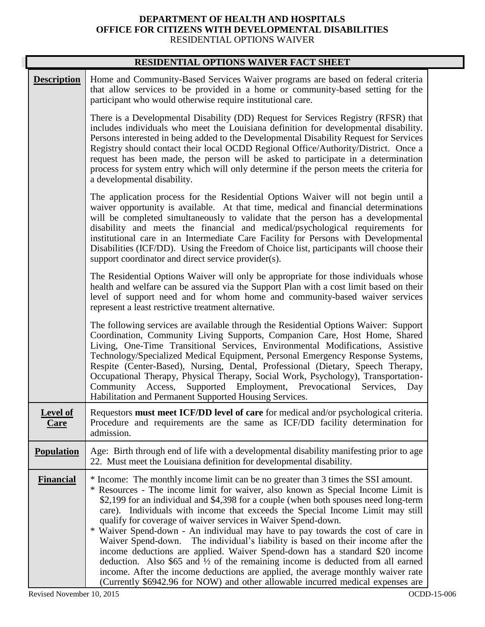## **DEPARTMENT OF HEALTH AND HOSPITALS OFFICE FOR CITIZENS WITH DEVELOPMENTAL DISABILITIES**  RESIDENTIAL OPTIONS WAIVER

| RESIDENTIAL OPTIONS WAIVER FACT SHEET |                                                                                                                                                                                                                                                                                                                                                                                                                                                                                                                                                                                                                                                                                                                                                                                                                                                                                                                                                 |  |
|---------------------------------------|-------------------------------------------------------------------------------------------------------------------------------------------------------------------------------------------------------------------------------------------------------------------------------------------------------------------------------------------------------------------------------------------------------------------------------------------------------------------------------------------------------------------------------------------------------------------------------------------------------------------------------------------------------------------------------------------------------------------------------------------------------------------------------------------------------------------------------------------------------------------------------------------------------------------------------------------------|--|
| <b>Description</b>                    | Home and Community-Based Services Waiver programs are based on federal criteria<br>that allow services to be provided in a home or community-based setting for the<br>participant who would otherwise require institutional care.                                                                                                                                                                                                                                                                                                                                                                                                                                                                                                                                                                                                                                                                                                               |  |
|                                       | There is a Developmental Disability (DD) Request for Services Registry (RFSR) that<br>includes individuals who meet the Louisiana definition for developmental disability.<br>Persons interested in being added to the Developmental Disability Request for Services<br>Registry should contact their local OCDD Regional Office/Authority/District. Once a<br>request has been made, the person will be asked to participate in a determination<br>process for system entry which will only determine if the person meets the criteria for<br>a developmental disability.                                                                                                                                                                                                                                                                                                                                                                      |  |
|                                       | The application process for the Residential Options Waiver will not begin until a<br>waiver opportunity is available. At that time, medical and financial determinations<br>will be completed simultaneously to validate that the person has a developmental<br>disability and meets the financial and medical/psychological requirements for<br>institutional care in an Intermediate Care Facility for Persons with Developmental<br>Disabilities (ICF/DD). Using the Freedom of Choice list, participants will choose their<br>support coordinator and direct service provider(s).                                                                                                                                                                                                                                                                                                                                                           |  |
|                                       | The Residential Options Waiver will only be appropriate for those individuals whose<br>health and welfare can be assured via the Support Plan with a cost limit based on their<br>level of support need and for whom home and community-based waiver services<br>represent a least restrictive treatment alternative.                                                                                                                                                                                                                                                                                                                                                                                                                                                                                                                                                                                                                           |  |
|                                       | The following services are available through the Residential Options Waiver: Support<br>Coordination, Community Living Supports, Companion Care, Host Home, Shared<br>Living, One-Time Transitional Services, Environmental Modifications, Assistive<br>Technology/Specialized Medical Equipment, Personal Emergency Response Systems,<br>Respite (Center-Based), Nursing, Dental, Professional (Dietary, Speech Therapy,<br>Occupational Therapy, Physical Therapy, Social Work, Psychology), Transportation-<br>Supported Employment, Prevocational<br>Community Access,<br>Services,<br>Day<br>Habilitation and Permanent Supported Housing Services.                                                                                                                                                                                                                                                                                        |  |
| <b>Level of</b><br>Care               | Requestors must meet ICF/DD level of care for medical and/or psychological criteria.<br>Procedure and requirements are the same as ICF/DD facility determination for<br>admission.                                                                                                                                                                                                                                                                                                                                                                                                                                                                                                                                                                                                                                                                                                                                                              |  |
| <b>Population</b>                     | Age: Birth through end of life with a developmental disability manifesting prior to age<br>22. Must meet the Louisiana definition for developmental disability.                                                                                                                                                                                                                                                                                                                                                                                                                                                                                                                                                                                                                                                                                                                                                                                 |  |
| <b>Financial</b>                      | * Income: The monthly income limit can be no greater than 3 times the SSI amount.<br>* Resources - The income limit for waiver, also known as Special Income Limit is<br>\$2,199 for an individual and \$4,398 for a couple (when both spouses need long-term<br>care). Individuals with income that exceeds the Special Income Limit may still<br>qualify for coverage of waiver services in Waiver Spend-down.<br>* Waiver Spend-down - An individual may have to pay towards the cost of care in<br>The individual's liability is based on their income after the<br>Waiver Spend-down.<br>income deductions are applied. Waiver Spend-down has a standard \$20 income<br>deduction. Also $$65$ and $\frac{1}{2}$ of the remaining income is deducted from all earned<br>income. After the income deductions are applied, the average monthly waiver rate<br>(Currently \$6942.96 for NOW) and other allowable incurred medical expenses are |  |